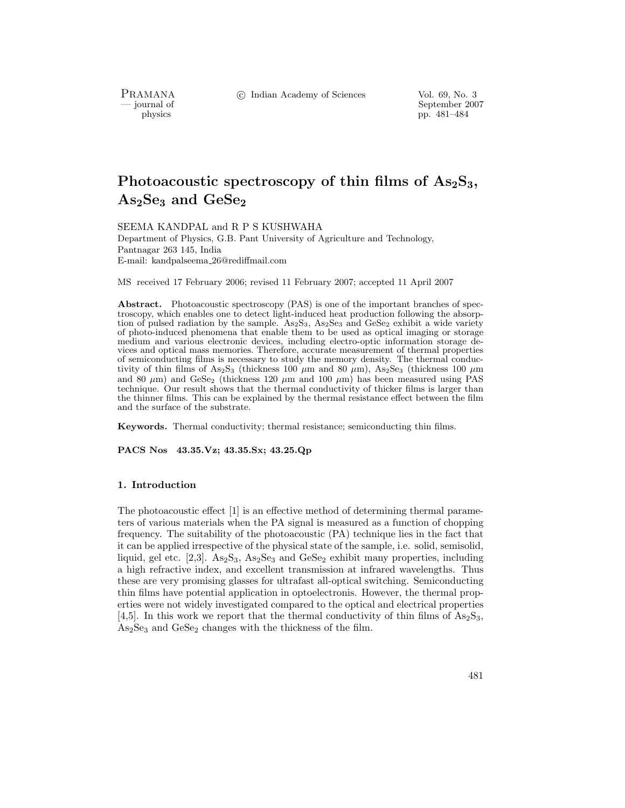c Indian Academy of Sciences Vol. 69, No. 3

PRAMANA<br>— journal of

September 2007 physics pp. 481–484

# **Photoacoustic spectroscopy of thin films of As2S3, As2Se<sup>3</sup> and GeSe<sup>2</sup>**

SEEMA KANDPAL and R P S KUSHWAHA Department of Physics, G.B. Pant University of Agriculture and Technology, Pantnagar 263 145, India E-mail: kandpalseema 26@rediffmail.com

MS received 17 February 2006; revised 11 February 2007; accepted 11 April 2007

Abstract. Photoacoustic spectroscopy (PAS) is one of the important branches of spectroscopy, which enables one to detect light-induced heat production following the absorption of pulsed radiation by the sample.  $As_2S_3$ ,  $As_2Se_3$  and  $GeSe_2$  exhibit a wide variety of photo-induced phenomena that enable them to be used as optical imaging or storage medium and various electronic devices, including electro-optic information storage devices and optical mass memories. Therefore, accurate measurement of thermal properties of semiconducting films is necessary to study the memory density. The thermal conductivity of thin films of As<sub>2</sub>S<sub>3</sub> (thickness 100  $\mu$ m and 80  $\mu$ m), As<sub>2</sub>Se<sub>3</sub> (thickness 100  $\mu$ m and 80  $\mu$ m) and GeSe<sub>2</sub> (thickness 120  $\mu$ m and 100  $\mu$ m) has been measured using PAS technique. Our result shows that the thermal conductivity of thicker films is larger than the thinner films. This can be explained by the thermal resistance effect between the film and the surface of the substrate.

**Keywords.** Thermal conductivity; thermal resistance; semiconducting thin films.

**PACS Nos 43.35.Vz; 43.35.Sx; 43.25.Qp**

#### **1. Introduction**

The photoacoustic effect [1] is an effective method of determining thermal parameters of various materials when the PA signal is measured as a function of chopping frequency. The suitability of the photoacoustic (PA) technique lies in the fact that it can be applied irrespective of the physical state of the sample, i.e. solid, semisolid, liquid, gel etc. [2,3].  $\text{As}_2\text{S}_3$ ,  $\text{As}_2\text{Se}_3$  and  $\text{GeSe}_2$  exhibit many properties, including a high refractive index, and excellent transmission at infrared wavelengths. Thus these are very promising glasses for ultrafast all-optical switching. Semiconducting thin films have potential application in optoelectronis. However, the thermal properties were not widely investigated compared to the optical and electrical properties [4,5]. In this work we report that the thermal conductivity of thin films of  $\text{As}_2\text{S}_3$ , As2Se<sup>3</sup> and GeSe<sup>2</sup> changes with the thickness of the film.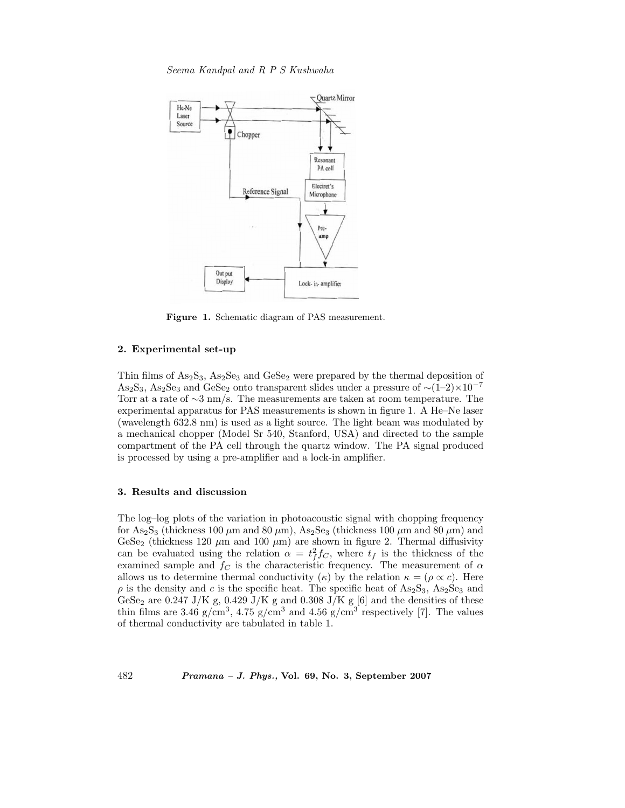*Seema Kandpal and R P S Kushwaha*



**Figure 1.** Schematic diagram of PAS measurement.

#### **2. Experimental set-up**

Thin films of  $As_2S_3$ ,  $As_2Se_3$  and  $GeSe_2$  were prepared by the thermal deposition of As2S3, As2Se<sup>3</sup> and GeSe<sup>2</sup> onto transparent slides under a pressure of <sup>∼</sup>(1–2)×10*−*<sup>7</sup> Torr at a rate of ∼3 nm/s. The measurements are taken at room temperature. The experimental apparatus for PAS measurements is shown in figure 1. A He–Ne laser (wavelength 632.8 nm) is used as a light source. The light beam was modulated by a mechanical chopper (Model Sr 540, Stanford, USA) and directed to the sample compartment of the PA cell through the quartz window. The PA signal produced is processed by using a pre-amplifier and a lock-in amplifier.

### **3. Results and discussion**

The log–log plots of the variation in photoacoustic signal with chopping frequency for As<sub>2</sub>S<sub>3</sub> (thickness 100  $\mu$ m and 80  $\mu$ m), As<sub>2</sub>Se<sub>3</sub> (thickness 100  $\mu$ m and 80  $\mu$ m) and GeSe<sub>2</sub> (thickness 120  $\mu$ m and 100  $\mu$ m) are shown in figure 2. Thermal diffusivity can be evaluated using the relation  $\alpha = t_f^2 f_C$ , where  $t_f$  is the thickness of the examined sample and  $f_C$  is the characteristic frequency. The measurement of  $\alpha$ allows us to determine thermal conductivity  $(\kappa)$  by the relation  $\kappa = (\rho \propto c)$ . Here  $\rho$  is the density and c is the specific heat. The specific heat of As<sub>2</sub>S<sub>3</sub>, As<sub>2</sub>S<sub>e<sub>3</sub> and</sub> GeSe<sub>2</sub> are 0.247 J/K g, 0.429 J/K g and 0.308 J/K g [6] and the densities of these thin films are 3.46 g/cm<sup>3</sup>, 4.75 g/cm<sup>3</sup> and 4.56 g/cm<sup>3</sup> respectively [7]. The values of thermal conductivity are tabulated in table 1.

482 *Pramana – J. Phys.,* **Vol. 69, No. 3, September 2007**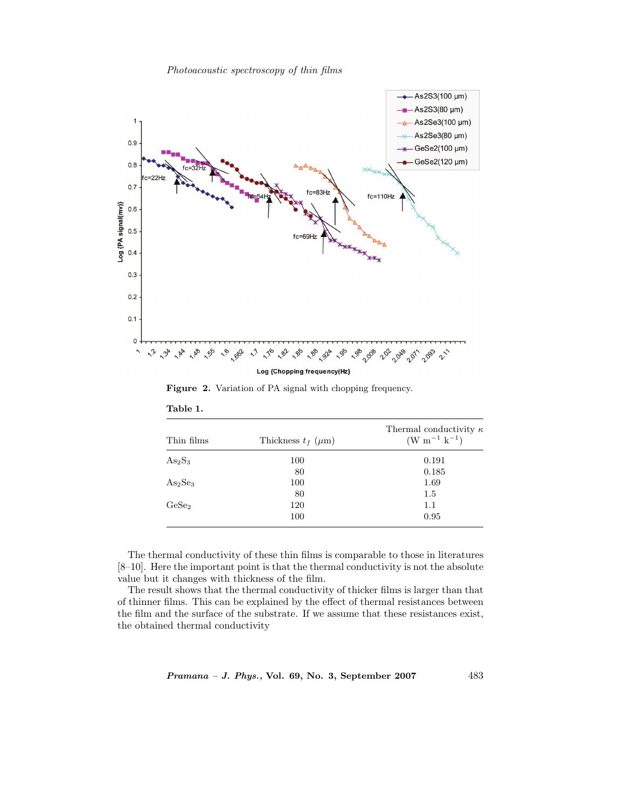*Photoacoustic spectroscopy of thin films*



Figure 2. Variation of PA signal with chopping frequency.

| Thin films                      | Thickness $t_f$ ( $\mu$ m) | Thermal conductivity $\kappa$<br>$(W m^{-1} k^{-1})$ |
|---------------------------------|----------------------------|------------------------------------------------------|
| $As_2S_3$                       | 100                        | 0.191                                                |
|                                 | 80                         | 0.185                                                |
| As <sub>2</sub> Se <sub>3</sub> | 100                        | 1.69                                                 |
|                                 | 80                         | 1.5                                                  |
| GeSe <sub>2</sub>               | 120                        | 1.1                                                  |
|                                 | 100                        | 0.95                                                 |

**Table 1.**

The thermal conductivity of these thin films is comparable to those in literatures [8–10]. Here the important point is that the thermal conductivity is not the absolute value but it changes with thickness of the film.

The result shows that the thermal conductivity of thicker films is larger than that of thinner films. This can be explained by the effect of thermal resistances between the film and the surface of the substrate. If we assume that these resistances exist, the obtained thermal conductivity